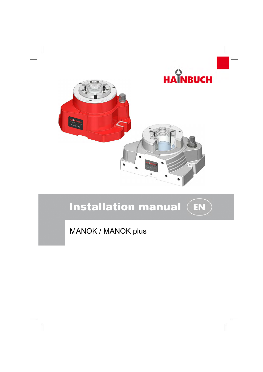

# Installation manual (EN)



# <span id="page-0-0"></span>MANOK / MANOK plus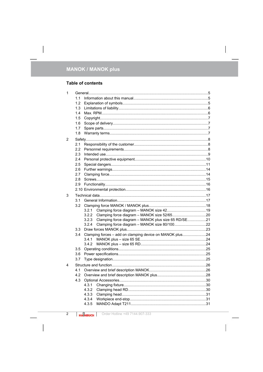### **Table of contents**

<span id="page-1-0"></span>

| 1 |     |                                                              |  |  |  |  |
|---|-----|--------------------------------------------------------------|--|--|--|--|
|   | 1.1 |                                                              |  |  |  |  |
|   | 1.2 |                                                              |  |  |  |  |
|   | 1.3 |                                                              |  |  |  |  |
|   | 1.4 |                                                              |  |  |  |  |
|   | 1.5 |                                                              |  |  |  |  |
|   | 1.6 |                                                              |  |  |  |  |
|   | 1.7 |                                                              |  |  |  |  |
|   | 1.8 |                                                              |  |  |  |  |
| 2 |     |                                                              |  |  |  |  |
|   | 2.1 |                                                              |  |  |  |  |
|   | 2.2 |                                                              |  |  |  |  |
|   | 2.3 |                                                              |  |  |  |  |
|   | 2.4 |                                                              |  |  |  |  |
|   | 2.5 |                                                              |  |  |  |  |
|   | 2.6 |                                                              |  |  |  |  |
|   | 2.7 |                                                              |  |  |  |  |
|   | 2.8 |                                                              |  |  |  |  |
|   | 2.9 |                                                              |  |  |  |  |
|   |     |                                                              |  |  |  |  |
| 3 |     |                                                              |  |  |  |  |
|   | 3.1 |                                                              |  |  |  |  |
|   | 3.2 |                                                              |  |  |  |  |
|   |     | 3.2.1                                                        |  |  |  |  |
|   |     | 3.2.2                                                        |  |  |  |  |
|   |     | Clamping force diagram - MANOK plus size 65 RD/SE21<br>3.2.3 |  |  |  |  |
|   |     | 3.2.4                                                        |  |  |  |  |
|   | 3.3 | Draw forces MANOK plus.                                      |  |  |  |  |
|   | 3.4 | Clamping forces - add on clamping device on MANOK plus24     |  |  |  |  |
|   |     | 3.4.1                                                        |  |  |  |  |
|   |     | 3.4.2                                                        |  |  |  |  |
|   | 3.5 |                                                              |  |  |  |  |
|   | 3.6 |                                                              |  |  |  |  |
|   | 3.7 |                                                              |  |  |  |  |
| 4 |     |                                                              |  |  |  |  |
|   | 4.1 |                                                              |  |  |  |  |
|   | 4.2 |                                                              |  |  |  |  |
|   | 4.3 |                                                              |  |  |  |  |
|   |     | 4.3.1                                                        |  |  |  |  |
|   |     | 4.3.2                                                        |  |  |  |  |
|   |     | 4.3.3                                                        |  |  |  |  |
|   |     | 4.3.4                                                        |  |  |  |  |
|   |     | 4.3.5                                                        |  |  |  |  |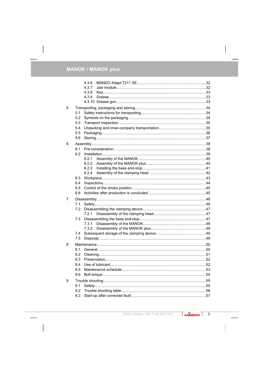|   |     | 4.3.6          |  |
|---|-----|----------------|--|
|   |     | 4.3.7          |  |
|   |     | 4.3.8<br>4.3.9 |  |
|   |     |                |  |
| 5 |     |                |  |
|   | 5.1 |                |  |
|   | 5.2 |                |  |
|   | 5.3 |                |  |
|   | 5.4 |                |  |
|   | 5.5 |                |  |
|   | 5.6 |                |  |
| 6 |     |                |  |
|   | 6.1 |                |  |
|   | 6.2 |                |  |
|   |     | 6.2.1          |  |
|   |     | 6.2.2          |  |
|   |     | 6.2.3          |  |
|   |     | 6.2.4          |  |
|   | 6.3 |                |  |
|   | 6.4 |                |  |
|   | 6.5 |                |  |
|   | 6.6 |                |  |
| 7 |     |                |  |
|   | 7.1 |                |  |
|   | 7.2 |                |  |
|   |     | 7.2.1          |  |
|   | 7.3 | 7.3.1          |  |
|   |     | 7.3.2          |  |
|   | 7.4 |                |  |
|   | 7.5 |                |  |
| 8 |     |                |  |
|   | 8.1 |                |  |
|   | 8.2 |                |  |
|   | 8.3 |                |  |
|   | 8.4 |                |  |
|   | 8.5 |                |  |
|   | 8.6 |                |  |
|   |     |                |  |
|   |     |                |  |
| 9 | 9.1 |                |  |
|   | 9.2 |                |  |
|   | 9.3 |                |  |

HAINBUCH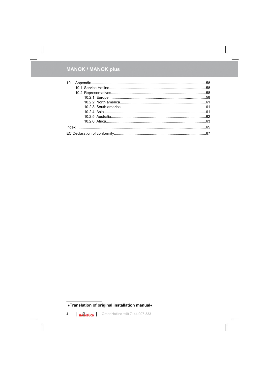# **MANOK / MANOK plus**

| 10 |  |
|----|--|
|    |  |
|    |  |
|    |  |
|    |  |
|    |  |
|    |  |
|    |  |
|    |  |
|    |  |
|    |  |

## <span id="page-3-0"></span>»Translation of original installation manual«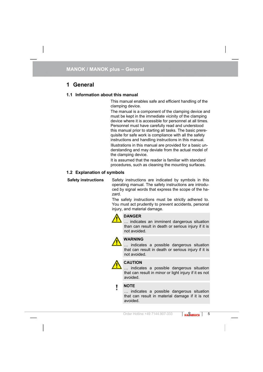# **1 General**

### **1.1 Information about this manual**

This manual enables safe and efficient handling of the clamping device.

The manual is a component of the clamping device and must be kept in the immediate vicinity of the clamping device where it is accessible for personnel at all times. Personnel must have carefully read and understood this manual prior to starting all tasks. The basic prerequisite for safe work is compliance with all the safety instructions and handling instructions in this manual.

Illustrations in this manual are provided for a basic understanding and may deviate from the actual model of the clamping device.

It is assumed that the reader is familiar with standard procedures, such as cleaning the mounting surfaces.

### **1.2 Explanation of symbols**

**Safety instructions** Safety instructions are indicated by symbols in this operating manual. The safety instructions are introduced by signal words that express the scope of the hazard.

> The safety instructions must be strictly adhered to. You must act prudently to prevent accidents, personal injury, and material damage.



### **DANGER**

… indicates an imminent dangerous situation than can result in death or serious injury if it is not avoided.



### **WARNING**

… indicates a possible dangerous situation that can result in death or serious injury if it is not avoided.



ı

### **CAUTION**

… indicates a possible dangerous situation that can result in minor or light injury if it es not avoided.

### **NOTE**

… indicates a possible dangerous situation that can result in material damage if it is not avoided.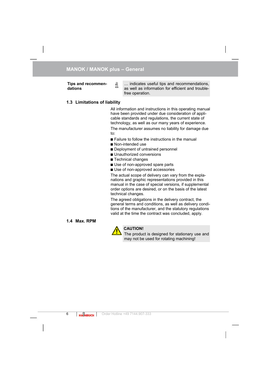ñ

**Tips and recommendations**

… indicates useful tips and recommendations, as well as information for efficient and troublefree operation.

### **1.3 Limitations of liability**

All information and instructions in this operating manual have been provided under due consideration of applicable standards and regulations, the current state of technology, as well as our many years of experience. The manufacturer assumes no liability for damage due to:

- $\blacksquare$  Failure to follow the instructions in the manual
- Non-intended use
- Deployment of untrained personnel
- Unauthorized conversions
- Technical changes
- Use of non-approved spare parts
- Use of non-approved accessories

The actual scope of delivery can vary from the explanations and graphic representations provided in this manual in the case of special versions, if supplemental order options are desired, or on the basis of the latest technical changes.

The agreed obligations in the delivery contract, the general terms and conditions, as well as delivery conditions of the manufacturer, and the statutory regulations valid at the time the contract was concluded, apply.

#### **1.4 Max. RPM**



### **CAUTION!**

The product is designed for stationary use and may not be used for rotating machining!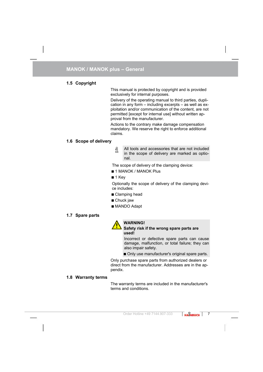### **1.5 Copyright**

This manual is protected by copyright and is provided exclusively for internal purposes.

Delivery of the operating manual to third parties, duplication in any form – including excerpts – as well as exploitation and/or communication of the content, are not permitted [except for internal use] without written approval from the manufacturer.

Actions to the contrary make damage compensation mandatory. We reserve the right to enforce additional claims.

#### **1.6 Scope of delivery**

All tools and accessories that are not included ñ in the scope of delivery are marked as optional.

The scope of delivery of the clamping device:

- **1 MANOK / MANOK Plus**
- $\blacksquare$  1 Key

Optionally the scope of delivery of the clamping device includes:

- Clamping head
- Chuck jaw
- MANDO Adapt

### **1.7 Spare parts**

### **WARNING!**

#### **Safety risk if the wrong spare parts are used!**

Incorrect or defective spare parts can cause damage, malfunction, or total failure; they can also impair safety.

Only use manufacturer's original spare parts.

Only purchase spare parts from authorized dealers or direct from the manufacturer. Addresses are in the appendix.

#### **1.8 Warranty terms**

The warranty terms are included in the manufacturer's terms and conditions.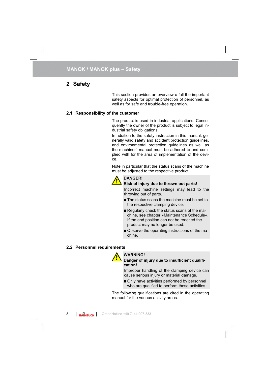## **2 Safety**

This section provides an overview o fall the important safety aspects for optimal protection of personnel, as well as for safe and trouble-free operation.

### **2.1 Responsibility of the customer**

The product is used in industrial applications. Consequently the owner of the product is subject to legal industrial safety obligations.

In addition to the safety instruction in this manual, generally valid safety and accident protection guidelines, and environmental protection guidelines as well as the machines' manual must be adhered to and complied with for the area of implementation of the device.

Note in particular that the status scans of the machine must be adjusted to the respective product.



### **DANGER!**

**Risk of injury due to thrown out parts!**

Incorrect machine settings may lead to the throwing out of parts.

- $\blacksquare$  The status scans the machine must be set to the respective clamping device.
- Regularly check the status scans of the machine, see chapter »Maintenance Schedule«. If the end position can not be reached the product may no longer be used.
- Observe the operating instructions of the machine.

### **2.2 Personnel requirements**



### **WARNING!**

**Danger of injury due to insufficient qualification!**

Improper handling of the clamping device can cause serious injury or material damage.

■ Only have activities performed by personnel who are qualified to perform these activities.

The following qualifications are cited in the operating manual for the various activity areas.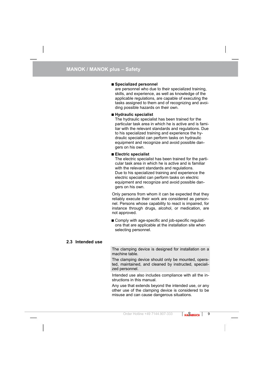### **Specialized personnel**

are personnel who due to their specialized training, skills, and experience, as well as knowledge of the applicable regulations, are capable of executing the tasks assigned to them and of recognizing and avoiding possible hazards on their own.

#### **Hydraulic specialist**

The hydraulic specialist has been trained for the particular task area in which he is active and is familiar with the relevant standards and regulations. Due to his specialized training and experience the hydraulic specialist can perform tasks on hydraulic equipment and recognize and avoid possible dangers on his own.

### **Electric specialist**

The electric specialist has been trained for the particular task area in which he is active and is familiar with the relevant standards and regulations. Due to his specialized training and experience the electric specialist can perform tasks on electric equipment and recognize and avoid possible dangers on his own.

Only persons from whom it can be expected that they reliably execute their work are considered as personnel. Persons whose capability to react is impaired, for instance through drugs, alcohol, or medication, are not approved.

■ Comply with age-specific and job-specific regulations that are applicable at the installation site when selecting personnel.

### **2.3 Intended use**

The clamping device is designed for installation on a machine table.

The clamping device should only be mounted, operated, maintained, and cleaned by instructed, specialized personnel.

Intended use also includes compliance with all the instructions in this manual.

Any use that extends beyond the intended use, or any other use of the clamping device is considered to be misuse and can cause dangerous situations.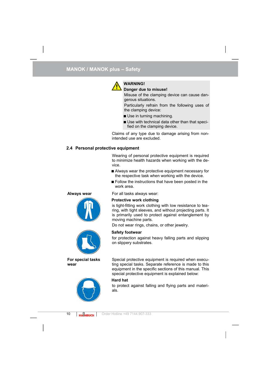

### **WARNING!**

### **Danger due to misuse!**

Misuse of the clamping device can cause dangerous situations.

Particularly refrain from the following uses of the clamping device:

- Use in turning machining.
- Use with technical data other than that specified on the clamping device.

Claims of any type due to damage arising from nonintended use are excluded.

### **2.4 Personal protective equipment**

Wearing of personal protective equipment is required to minimize health hazards when working with the device.

- Always wear the protective equipment necessary for the respective task when working with the device.
- **Follow the instructions that have been posted in the** work area.

**Always wear** For all tasks always wear:

### **Protective work clothing**

is tight-fitting work clothing with low resistance to tearing, with tight sleeves, and without projecting parts. It is primarily used to protect against entanglement by moving machine parts.

Do not wear rings, chains, or other jewelry.

### **Safety footwear**

for protection against heavy falling parts and slipping on slippery substrates.

Special protective equipment is required when executing special tasks. Separate reference is made to this equipment in the specific sections of this manual. This special protective equipment is explained below:

### **Hard hat**

to protect against falling and flying parts and materials.





**For special tasks wear**

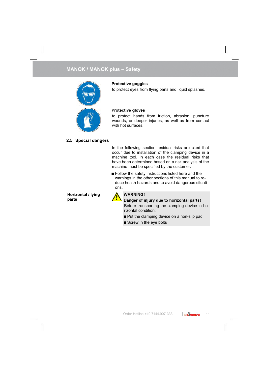

### **Protective goggles**

to protect eyes from flying parts and liquid splashes.

#### **Protective gloves**

to protect hands from friction, abrasion, puncture wounds, or deeper injuries, as well as from contact with hot surfaces.

### **2.5 Special dangers**

In the following section residual risks are cited that occur due to installation of the clamping device in a machine tool. In each case the residual risks that have been determined based on a risk analysis of the machine must be specified by the customer.

**Follow the safety instructions listed here and the** warnings in the other sections of this manual to reduce health hazards and to avoid dangerous situations.

**Horizontal / lying parts**



#### **WARNING!**

**Danger of injury due to horizontal parts!** Before transporting the clamping device in horizontal condition:

- Put the clamping device on a non-slip pad
- Screw in the eye bolts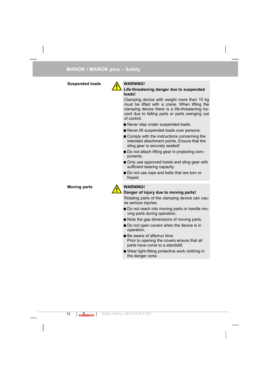#### **Suspended loads A. WARNING!**



#### **Life-threatening danger due to suspended loads!**

Clamping device with weight more than 15 kg must be lifted with a crane. When lifting the clamping device there is a life-threatening hazard due to falling parts or parts swinging out of control.

- Never step under suspended loads.
- Never lift suspended loads over persons.
- Comply with the instructions concerning the intended attachment points. Ensure that the sling gear is securely seated!
- Do not attach lifting gear in projecting components.
- Only use approved hoists and sling gear with sufficient bearing capacity.
- Do not use rope and belts that are torn or frayed.



### **Danger of injury due to moving parts!**

Rotating parts of the clamping device can cause serious injuries.

- Do not reach into moving parts or handle moving parts during operation.
- $\blacksquare$  Note the gap dimensions of moving parts.
- Do not open covers when the device is in operation.
- $\blacksquare$  Be aware of afterrun time: Prior to opening the covers ensure that all parts have come to a standstill.
- Wear tight-fitting protective work clothing in the danger zone.

#### **Moving parts A WARNING!**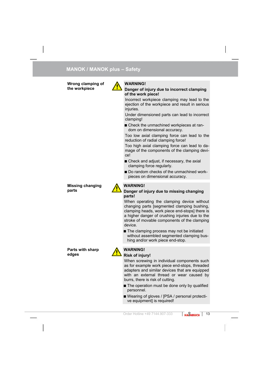**Wrong clamping of the workpiece**



### **WARNING!**

### **Danger of injury due to incorrect clamping of the work piece!**

Incorrect workpiece clamping may lead to the ejection of the workpiece and result in serious injuries.

Under dimensioned parts can lead to incorrect clamping!

■ Check the unmachined workpieces at random on dimensional accuracy.

Too low axial clamping force can lead to the reduction of radial clamping force!

Too high axial clamping force can lead to damage of the components of the clamping device!

- Check and adjust, if necessary, the axial clamping force regularly.
- Do random checks of the unmachined workpieces on dimensional accuracy.



### **WARNING!**

### **Danger of injury due to missing changing parts!**

When operating the clamping device without changing parts [segmented clamping bushing, clamping heads, work piece end-stops] there is a higher danger of crushing injuries due to the stroke of movable components of the clamping device.

■ The clamping process may not be initiated without assembled segmented clamping bushing and/or work piece end-stop.

### **Parts with sharp edges**



# **WARNING!**

**Risk of injury!**

When screwing in individual components such as for example work piece end-stops, threaded adapters and similar devices that are equipped with an external thread or wear caused by burrs, there is risk of cutting.

- The operation must be done only by qualified personnel.
- Wearing of gloves / [PSA / personal protective equipment] is required!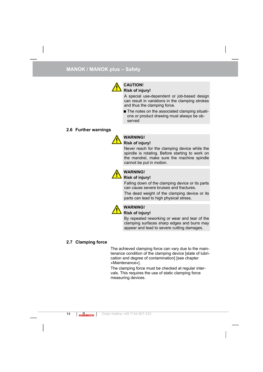

### **CAUTION! Risk of injury!**

A special use-dependent or job-based design can result in variations in the clamping strokes and thus the clamping force.

■ The notes on the associated clamping situations or product drawing must always be observed

### **2.6 Further warnings**



#### **WARNING! Risk of injury!**

Never reach for the clamping device while the spindle is rotating. Before starting to work on the mandrel, make sure the machine spindle cannot be put in motion.



## **WARNING!**

**Risk of injury!**

Falling down of the clamping device or its parts can cause severe bruises and fractures.

The dead weight of the clamping device or its parts can lead to high physical stress.



### **WARNING!**

**Risk of injury!**

By repeated reworking or wear and tear of the clamping surfaces sharp edges and burrs may appear and lead to severe cutting damages.

### **2.7 Clamping force**

The achieved clamping force can vary due to the maintenance condition of the clamping device [state of lubrication and degree of contamination] [see chapter »Maintenance«].

The clamping force must be checked at regular intervals. This requires the use of static clamping force measuring devices.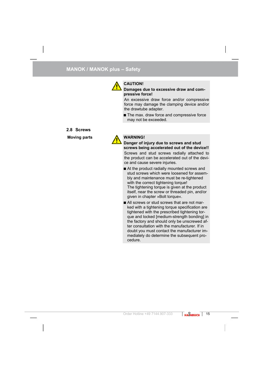

### **CAUTION!**

### **Damages due to excessive draw and compressive force!**

An excessive draw force and/or compressive force may damage the clamping device and/or the drawtube adapter.

■ The max. draw force and compressive force may not be exceeded.

### **2.8 Screws**

**Moving parts A WARNING!** 



**Danger of injury due to screws and stud screws being accelerated out of the device!!** Screws and stud screws radially attached to the product can be accelerated out of the device and cause severe injuries.

- At the product radially mounted screws and stud screws which were loosened for assembly and maintenance must be re-tightened with the correct tightening torque! The tightening torque is given at the product itself, near the screw or threaded pin, and/or given in chapter »Bolt torque«.
- All screws or stud screws that are not marked with a tightening torque specification are tightened with the prescribed tightening torque and locked [medium-strength bonding] in the factory and should only be unscrewed after consultation with the manufacturer. If in doubt you must contact the manufacturer immediately do determine the subsequent procedure.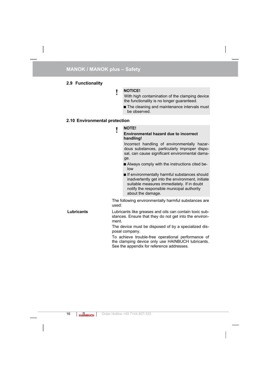### **2.9 Functionality**

#### İ **NOTICE!**

With high contamination of the clamping device the functionality is no longer guaranteed.

■ The cleaning and maintenance intervals must be observed.

### **2.10 Environmental protection**

|                   |       | <b>NOTE!</b>                                                                                                                                                                                                      |
|-------------------|-------|-------------------------------------------------------------------------------------------------------------------------------------------------------------------------------------------------------------------|
|                   |       | <b>Environmental hazard due to incorrect</b><br>handling!                                                                                                                                                         |
|                   |       | Incorrect handling of environmentally hazar-<br>dous substances, particularly improper dispo-<br>sal, can cause significant environmental dama-<br>ge.                                                            |
|                   |       | Always comply with the instructions cited be-<br>low                                                                                                                                                              |
|                   |       | If environmentally harmful substances should<br>inadvertently get into the environment, initiate<br>suitable measures immediately. If in doubt<br>notify the responsible municipal authority<br>about the damage. |
|                   | used: | The following environmentally harmful substances are                                                                                                                                                              |
| <b>Lubricants</b> | ment. | Lubricants like greases and oils can contain toxic sub-<br>stances. Ensure that they do not get into the environ-                                                                                                 |
|                   |       | The device must be disposed of by a specialized dis-<br>posal company.                                                                                                                                            |
|                   |       | To achieve trouble-free operational performance of<br>the clamping device only use HAINBUCH lubricants.<br>See the appendix for reference addresses.                                                              |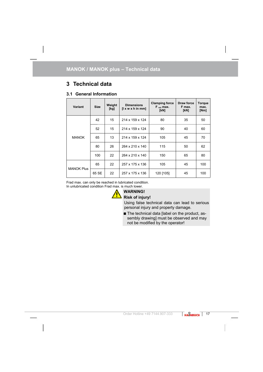# **3 Technical data**

### **3.1 General Information**

| <b>Variant</b>    | <b>Size</b> | Weight<br>[kg] | <b>Dimensions</b><br>[1 x w x h in mm] | <b>Clamping force</b><br>$F_{rad.}$ max.<br>[KN] | Draw force<br>F max.<br>[kN] | <b>Torque</b><br>max.<br>[Nm] |
|-------------------|-------------|----------------|----------------------------------------|--------------------------------------------------|------------------------------|-------------------------------|
|                   | 42          | 15             | 214 x 159 x 124                        | 80                                               | 35                           | 50                            |
|                   | 52          | 15             | 214 x 159 x 124                        | 90                                               | 40                           | 60                            |
| <b>MANOK</b>      | 65          | 13             | 214 x 159 x 124                        | 105                                              | 45                           | 70                            |
|                   | 80          | 26             | 264 x 210 x 140                        | 115                                              | 50                           | 62                            |
|                   | 100         | 22             | 264 x 210 x 140                        | 150                                              | 65                           | 80                            |
|                   | 65          | 22             | 257 x 175 x 136                        | 105                                              | 45                           | 100                           |
| <b>MANOK Plus</b> | 65 SE       | 22             | 257 x 175 x 136                        | 120 [105]                                        | 45                           | 100                           |

Frad max. can only be reached in lubricated condition.

In unlubricated condition Frad max. is much lower.



### **WARNING! Risk of injury!**

Using false technical data can lead to serious personal injury and property damage.

■ The technical data [label on the product, assembly drawing] must be observed and may not be modified by the operator!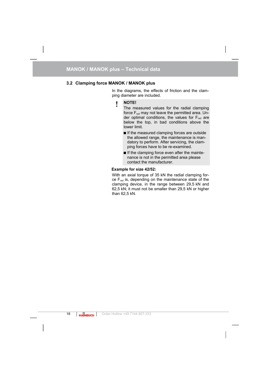### **3.2 Clamping force MANOK / MANOK plus**

In the diagrams, the effects of friction and the clamping diameter are included.

#### ļ **NOTE!**

The measured values for the radial clamping force  $F_{rad}$  may not leave the permitted area. Under optimal conditions, the values for  $F_{rad}$  are below the top, in bad conditions above the lower limit.

- $\blacksquare$  If the measured clamping forces are outside the allowed range, the maintenance is mandatory to perform. After servicing, the clamping forces have to be re-examined.
- $\blacksquare$  If the clamping force even after the maintenance is not in the permitted area please contact the manufacturer.

#### **Example for size 42/52:**

With an axial torque of 35 kN the radial clamping force Frad is, depending on the maintenance state of the clamping device, in the range between 29,5 kN and 62,5 kN; it must not be smaller than 29,5 kN or higher than 62,5 kN.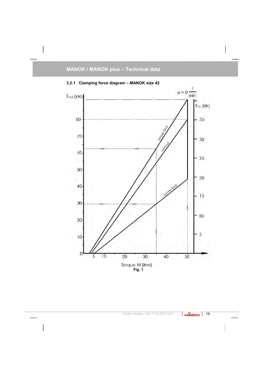

### **3.2.1 Clamping force diagram – MANOK size 42**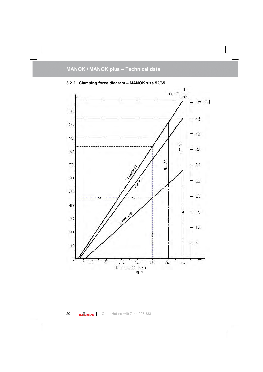

### **3.2.2 Clamping force diagram – MANOK size 52/65**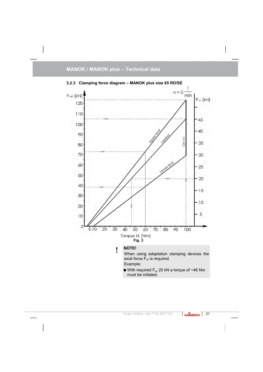

#### **3.2.3 Clamping force diagram – MANOK plus size 65 RD/SE**

With required  $F_{ax}$  20 kN a torque of ~46 Nm must be initiated.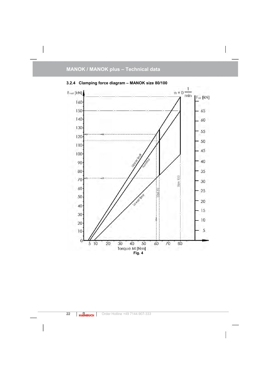

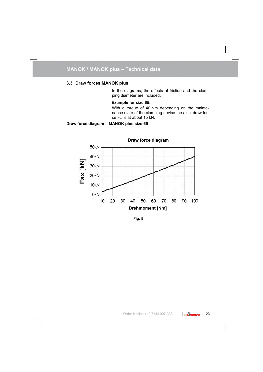### **3.3 Draw forces MANOK plus**

In the diagrams, the effects of friction and the clamping diameter are included.

#### **Example for size 65:**

With a torque of 40 Nm depending on the maintenance state of the clamping device the axial draw force  $F_{ax}$  is at about 15 kN.

**Draw force diagram – MANOK plus size 65**



**Draw force diagram**

**Fig. 5**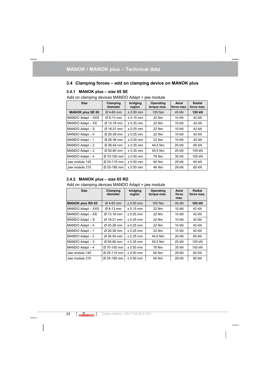### **3.4 Clamping forces – add on clamping device on MANOK plus**

### **3.4.1 MANOK plus – size 65 SE**

Add on clamping devices MANDO Adapt + jaw module

| <b>Size</b>             | Clamping<br>diameter    | bridging<br>region | <b>Operating</b><br>torque max. | Axial<br>force max. | <b>Radial</b><br>force max. |
|-------------------------|-------------------------|--------------------|---------------------------------|---------------------|-----------------------------|
| <b>MANOK plus SE 65</b> | $\varnothing$ 4-65 mm   | $\pm$ 0.50 mm      | 100 Nm                          | 45 kN               | <b>120 kN</b>               |
| MANDO Adapt - XXS       | Ø 8-13 mm               | $± 0.15$ mm        | 22 Nm                           | 10 kN               | 42 kN                       |
| MANDO Adapt - XS        | $\varnothing$ 13-18 mm  | $± 0.25$ mm        | 22 Nm                           | 10 kN               | 42 kN                       |
| MANDO Adapt - S         | Ø 16-21 mm              | $\pm$ 0.25 mm      | 22 Nm                           | 10 kN               | 42 kN                       |
| MANDO Adapt - 0         | $\varnothing$ 20-28 mm  | $± 0.25$ mm        | 22 Nm                           | 10 kN               | 42 kN                       |
| MANDO Adapt - 1         | $\varnothing$ 26-38 mm  | $\pm$ 0.25 mm      | 22 Nm                           | 10 kN               | 42 kN                       |
| MANDO Adapt - 2         | $\varnothing$ 36-54 mm  | $\pm$ 0.35 mm      | 44,5 Nm                         | 20 kN               | 85 kN                       |
| MANDO Adapt - 3         | $\varnothing$ 50-80 mm  | $\pm$ 0.35 mm      | 55,5 Nm                         | 25 kN               | 105 kN                      |
| MANDO Adapt - 4         | $\varnothing$ 70-100 mm | $\pm$ 0.50 mm      | 78 Nm                           | 35 kN               | 150 kN                      |
| Jaw module 145          | $\varnothing$ 25-115 mm | $\pm$ 0.50 mm      | 64 Nm                           | 29 kN               | 60 kN                       |
| Jaw module 215          | $\varnothing$ 25-195 mm | $\pm$ 0.50 mm      | 46 Nm                           | 29 kN               | 60 kN                       |

### **3.4.2 MANOK plus – size 65 RD**

Add on clamping devices MANDO Adapt + jaw module

| <b>Size</b>             | Clamping<br>diameter    | bridging<br>region | <b>Operating</b><br>torque max. | Axial<br>force<br>max. | <b>Radial</b><br>force max. |
|-------------------------|-------------------------|--------------------|---------------------------------|------------------------|-----------------------------|
| <b>MANOK plus RD 65</b> | $\varnothing$ 4-65 mm   | $\pm$ 0.50 mm      | 100 Nm                          | 45 kN                  | <b>105 kN</b>               |
| MANDO Adapt - XXS       | $\varnothing$ 8-13 mm   | $\pm$ 0.15 mm      | 22 Nm                           | 10 kN                  | 42 kN                       |
| MANDO Adapt - XS        | $\varnothing$ 13-18 mm  | $\pm$ 0.25 mm      | 22 Nm                           | 10 kN                  | 42 kN                       |
| MANDO Adapt - S         | $\varnothing$ 16-21 mm  | $\pm$ 0.25 mm      | 22 Nm                           | 10 kN                  | 42 kN                       |
| MANDO Adapt $-0$        | Ø 20-28 mm              | $± 0.25$ mm        | 22 Nm                           | 10 kN                  | 42 kN                       |
| MANDO Adapt - 1         | $\varnothing$ 26-38 mm  | $± 0.25$ mm        | 22 Nm                           | 10 kN                  | 42 kN                       |
| MANDO Adapt - 2         | Ø 36-54 mm              | $\pm$ 0.35 mm      | 44,5 Nm                         | 20 kN                  | 85 kN                       |
| MANDO Adapt - 3         | $\varnothing$ 50-80 mm  | $\pm$ 0.35 mm      | 55,5 Nm                         | 25 kN                  | 105 kN                      |
| MANDO Adapt - 4         | Ø 70-100 mm             | $\pm$ 0.50 mm      | 78 Nm                           | 35 kN                  | 150 kN                      |
| Jaw module 145          | Ø 25-115 mm             | $\pm$ 0.50 mm      | 64 Nm                           | 29 kN                  | 60 kN                       |
| Jaw module 215          | $\varnothing$ 25-195 mm | $\pm$ 0.50 mm      | 64 Nm                           | 29 kN                  | 60 kN                       |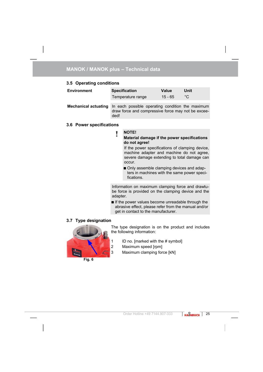### **3.5 Operating conditions**

| <b>Environment</b> | <b>Specification</b> | Value   | Unit |
|--------------------|----------------------|---------|------|
|                    | Temperature range    | 15 - 65 | °€   |
|                    |                      |         |      |

**Mechanical actuating** In each possible operating condition the maximum draw force and compressive force may not be exceeded!

### **3.6 Power specifications**

#### **NOTE!** i

### **Material damage if the power specifications do not agree!**

If the power specifications of clamping device, machine adapter and machine do not agree, severe damage extending to total damage can occur.

Only assemble clamping devices and adapters in machines with the same power specifications.

Information on maximum clamping force and drawtube force is provided on the clamping device and the adapter.

 $\blacksquare$  If the power values become unreadable through the abrasive effect, please refer from the manual and/or get in contact to the manufacturer.

### **3.7 Type designation**



**Fig. 6**

The type designation is on the product and includes the following information:

- 1 ID no. [marked with the # symbol]
- 2 Maximum speed [rpm]
- 3 Maximum clamping force [kN]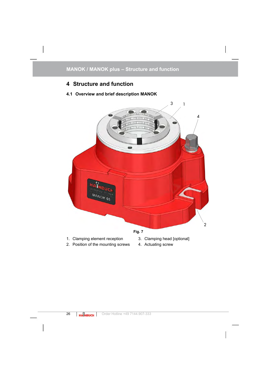## **[MANOK / MANOK plus](#page-0-0) – Structure and function**

# **4 Structure and function**

### **4.1 Overview and brief description MANOK**



- 1. Clamping element reception
- 3. Clamping head [optional]
- 2. Position of the mounting screws
- 4. Actuating screw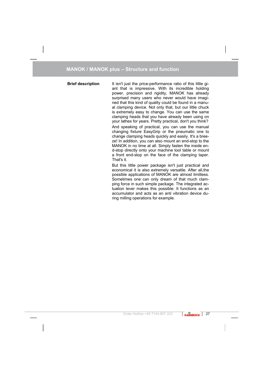**Brief description** It isn't just the price-performance ratio of this little giant that is impressive. With its incredible holding power, precision and rigidity, MANOK has already surprised many users who never would have imagined that this kind of quality could be found in a manual clamping device. Not only that, but our little chuck is extremely easy to change. You can use the same clamping heads that you have already been using on your lathes for years. Pretty practical, don't you think? And speaking of practical, you can use the manual changing fixture EasyGrip or the pneumatic one to change clamping heads quickly and easily. It's a breeze! In addition, you can also mount an end-stop to the MANOK in no time at all. Simply fasten the inside end-stop directly onto your machine tool table or mount a front end-stop on the face of the clamping taper. That's it. But this little power package isn't just practical and

economical it is also extremely versatile. After all,the possible applications of MANOK are almost limitless. Sometimes one can only dream of that much clamping force in such simple package. The integrated actuation lever makes this possible: It functions as an accumulator and acts as an anti vibration device during milling operations for example.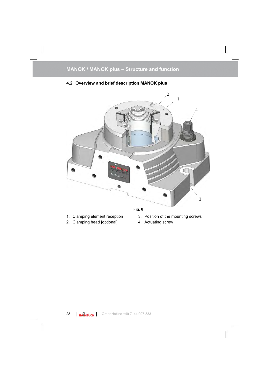### **[MANOK / MANOK plus](#page-0-0) – Structure and function**

### **4.2 Overview and brief description MANOK plus**



**Fig. 8**

- 1. Clamping element reception
- 2. Clamping head [optional]
- 3. Position of the mounting screws
- 4. Actuating screw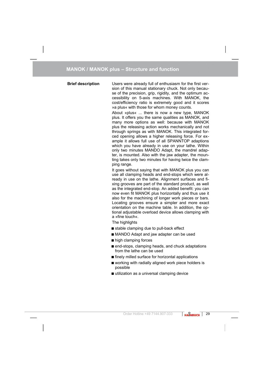**Brief description** Users were already full of enthusiasm for the first version of this manual stationary chuck. Not only because of the precision, grip, rigidity, and the optimum accessibility on 5-axis machines. With MANOK, the cost/efficiency ratio is extremely good and it scores »a plus« with those for whom money counts.

> About »plus« ... there is now a new type, MANOK plus. It offers you the same qualities as MANOK, and many more options as well: because with MANOK plus the releasing action works mechanically and not through springs as with MANOK. This integrated forced opening allows a higher releasing force. For example it allows full use of all SPANNTOP adaptions which you have already in use on your lathe. Within only two minutes MANDO Adapt, the mandrel adapter, is mounted. Also with the jaw adapter, the mounting takes only two minutes for having twice the clamping range.

> It goes without saying that with MANOK plus you can use all clamping heads and end-stops which were already in use on the lathe. Alignment surfaces and fixing grooves are part of the standard product, as well as the integrated end-stop. An added benefit: you can now even fit MANOK plus horizontally and thus use it also for the machining of longer work pieces or bars. Locating grooves ensure a simpler and more exact orientation on the machine table. In addition, the optional adjustable overload device allows clamping with a »fine touch«.

The highlights

- stable clamping due to pull-back effect
- MANDO Adapt and jaw adapter can be used
- high clamping forces
- end-stops, clamping heads, and chuck adaptations from the lathe can be used
- finely milled surface for horizontal applications
- working with radially aligned work piece holders is possible
- utilization as a universal clamping device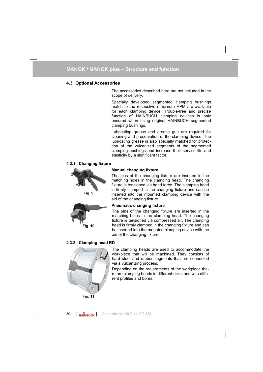### **4.3 Optional Accessories**

The accessories described here are not included in the scope of delivery.

Specially developed segmented clamping bushings match to the respective maximum RPM are available for each clamping device. Trouble-free and precise function of HAINBUCH clamping devices is only ensured when using original HAINBUCH segmented clamping bushings.

Lubricating grease and grease gun are required for cleaning and preservation of the clamping device. The lubricating grease is also specially matched for protection of the vulcanized segments of the segmented clamping bushings and increase their service life and elasticity by a significant factor.

### **4.3.1 Changing fixture**





The pins of the changing fixture are inserted in the matching holes in the clamping head. The changing fixture is tensioned via hand force. The clamping head is firmly clamped in the changing fixture and can be inserted into the mounted clamping device with the aid of the changing fixture.

#### **Pneumatic changing fixture**

The pins of the changing fixture are inserted in the matching holes in the clamping head. The changing fixture is tensioned via compressed air. The clamping head is firmly clamped in the changing fixture and can be inserted into the mounted clamping device with the aid of the changing fixture.

### **4.3.2 Clamping head RD**

**Fig. 10**



**Fig. 11**

The clamping heads are used to accommodate the workpiece that will be machined. They consists of hard steel and rubber segments that are connected via a vulcanizing process.

Depending on the requirements of the workpiece there are clamping heads in different sizes and with different profiles and bores.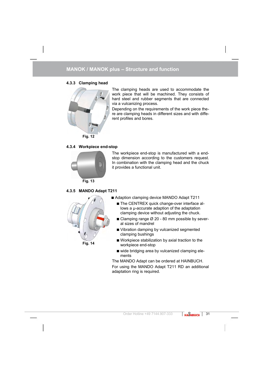### **[MANOK / MANOK plus](#page-0-0) – Structure and function**

#### **4.3.3 Clamping head**



The clamping heads are used to accommodate the work piece that will be machined. They consists of hard steel and rubber segments that are connected via a vulcanizing process.

Depending on the requirements of the work piece there are clamping heads in different sizes and with different profiles and bores.

**Fig. 12**

#### **4.3.4 Workpiece end-stop**



The workpiece end-stop is manufactured with a endstop dimension according to the customers request. In combination with the clamping head and the chuck it provides a functional unit.

### **Fig. 13**

### **4.3.5 MANDO Adapt T211**



- Adaption clamping device MANDO Adapt T211
	- The CENTREX quick change-over interface allows a μ-accurate adaption of the adaptation clamping device without adjusting the chuck.
	- Clamping range  $\varnothing$  20 80 mm possible by several sizes of mandrel
	- Vibration damping by vulcanized segmented clamping bushings
	- Workpiece stabilization by axial traction to the workpiece end-stop
	- wide bridging area by vulcanized clamping elements

The MANDO Adapt can be ordered at HAINBUCH. For using the MANDO Adapt T211 RD an additional adaptation ring is required.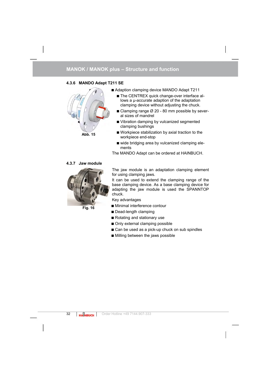### **[MANOK / MANOK plus](#page-0-0) – Structure and function**

#### **4.3.6 MANDO Adapt T211 SE**



■ Adaption clamping device MANDO Adapt T211

- The CENTREX quick change-over interface allows a μ-accurate adaption of the adaptation clamping device without adjusting the chuck.
- Clamping range  $\varnothing$  20 80 mm possible by several sizes of mandrel
- Vibration damping by vulcanized segmented clamping bushings
- Workpiece stabilization by axial traction to the workpiece end-stop
- wide bridging area by vulcanized clamping elements

The MANDO Adapt can be ordered at HAINBUCH.

#### **4.3.7 Jaw module**



**Fig. 16**

The jaw module is an adaptation clamping element for using clamping jaws.

It can be used to extend the clamping range of the base clamping device. As a base clamping device for adapting the jaw module is used the SPANNTOP chuck.

Key advantages

- **Minimal interference contour**
- Dead-length clamping
- Rotating and stationary use
- Only external clamping possible
- Can be used as a pick-up chuck on sub spindles
- **Milling between the jaws possible**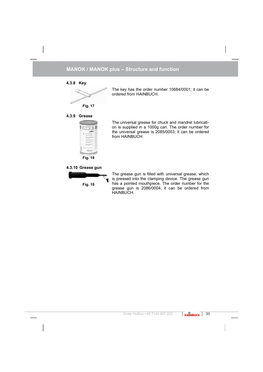### **4.3.8 Key**



The key has the order number 10684/0001; it can be ordered from HAINBUCH.

**Fig. 17**

### **4.3.9 Grease**



The universal grease for chuck and mandrel lubrication is supplied in a 1000g can. The order number for the universal grease is 2085/0003; it can be ordered from HAINBUCH.

**4.3.10 Grease gun**

**Fig. 19**

The grease gun is filled with universal grease, which is pressed into the clamping device. The grease gun has a pointed mouthpiece. The order number for the grease gun is 2086/0004; it can be ordered from HAINBUCH.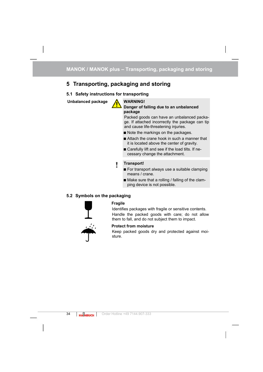# **5 Transporting, packaging and storing**

### **5.1 Safety instructions for transporting**

Unbalanced package **A** WARNING!



**Danger of falling due to an unbalanced package**

Packed goods can have an unbalanced package. If attached incorrectly the package can tip and cause life-threatening injuries.

- $\blacksquare$  Note the markings on the packages.
- Attach the crane hook in such a manner that it is located above the center of gravity.
- Carefully lift and see if the load tilts. If necessary change the attachment.

#### **Transport!** 1

- For transport always use a suitable clamping means / crane.
- Make sure that a rolling / falling of the clamping device is not possible.

### **5.2 Symbols on the packaging**



### **Fragile**

Identifies packages with fragile or sensitive contents. Handle the packed goods with care; do not allow them to fall, and do not subject them to impact.



Keep packed goods dry and protected against moisture.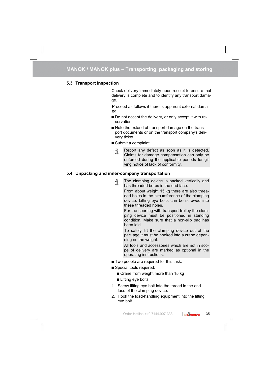### **5.3 Transport inspection**

Check delivery immediately upon receipt to ensure that delivery is complete and to identify any transport damage.

Proceed as follows it there is apparent external damage:

- Do not accept the delivery, or only accept it with reservation.
- Note the extend of transport damage on the transport documents or on the transport company's delivery ticket.
- Submit a complaint.
	- Report any defect as soon as it is detected. ñ Claims for damage compensation can only be enforced during the applicable periods for giving notice of lack of conformity.

### **5.4 Unpacking and inner-company transportation**

 $\frac{1}{11}$  The clamping device is packed vertically and has threaded bores in the end face.

From about weight 15 kg there are also threaded holes in the circumference of the clamping device. Lifting eye bolts can be screwed into these threaded holes.

For transporting with transport trolley the clamping device must be positioned in standing condition. Make sure that a non-slip pad has been laid.

To safely lift the clamping device out of the package it must be hooked into a crane depending on the weight.

All tools and accessories which are not in scope of delivery are marked as optional in the operating instructions.

- Two people are required for this task.
- Special tools required:
	- Crane from weight more than 15 kg
	- $\blacksquare$  Lifting eye bolts
- 1. Screw lifting eye bolt into the thread in the end face of the clamping device.
- 2. Hook the load-handling equipment into the lifting eye bolt.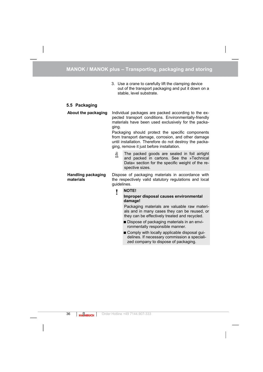3. Use a crane to carefully lift the clamping device out of the transport packaging and put it down on a stable, level substrate.

### **5.5 Packaging**

**About the packaging** Individual packages are packed according to the expected transport conditions. Environmentally-friendly materials have been used exclusively for the packaging.

> Packaging should protect the specific components from transport damage, corrosion, and other damage until installation. Therefore do not destroy the packaging, remove it just before installation.

ñ The packed goods are sealed in foil airtight and packed in cartons. See the »Technical Data« section for the specific weight of the respective sizes.

**Handling packaging materials** Dispose of packaging materials in accordance with the respectively valid statutory regulations and local guidelines.

### **NOTE!**

#### **Improper disposal causes environmental damage!**

Packaging materials are valuable raw materials and in many cases they can be reused, or they can be effectively treated and recycled.

- Dispose of packaging materials in an environmentally responsible manner.
- Comply with locally applicable disposal quidelines. If necessary commission a specialized company to dispose of packaging.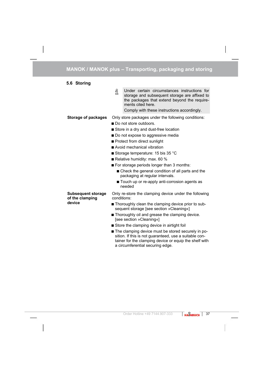| 5.6 Storing                                            |                                                                                                                                                                                                                                                                                                                                                                                                                                                                                                                        |
|--------------------------------------------------------|------------------------------------------------------------------------------------------------------------------------------------------------------------------------------------------------------------------------------------------------------------------------------------------------------------------------------------------------------------------------------------------------------------------------------------------------------------------------------------------------------------------------|
|                                                        | Under certain circumstances instructions for<br>i<br>storage and subsequent storage are affixed to<br>the packages that extend beyond the require-<br>ments cited here.<br>Comply with these instructions accordingly.                                                                                                                                                                                                                                                                                                 |
| <b>Storage of packages</b>                             | Only store packages under the following conditions:<br>Do not store outdoors.<br>Store in a dry and dust-free location<br>■ Do not expose to aggressive media<br>■ Protect from direct sunlight<br>Avoid mechanical vibration<br>Storage temperature: 15 bis 35 $^{\circ}$ C<br><b>Relative humidity: max. 60 %</b><br>For storage periods longer than 3 months:<br>■ Check the general condition of all parts and the<br>packaging at regular intervals.<br>■ Touch up or re-apply anti-corrosion agents as<br>needed |
| <b>Subsequent storage</b><br>of the clamping<br>device | Only re-store the clamping device under the following<br>conditions:<br>■ Thoroughly clean the clamping device prior to sub-<br>sequent storage [see section »Cleaning«]<br>■ Thoroughly oil and grease the clamping device.<br>[see section »Cleaning«]<br>■ Store the clamping device in airtight foil<br>The clamping device must be stored securely in po-                                                                                                                                                         |

sition. If this is not guaranteed, use a suitable container for the clamping device or equip the shelf with a circumferential securing edge.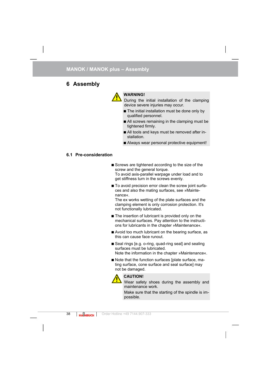## **6 Assembly**



### **WARNING!**

During the initial installation of the clamping device severe injuries may occur.

- The initial installation must be done only by qualified personnel.
- All screws remaining in the clamping must be tightened firmly.
- All tools and keys must be removed after installation.
- Always wear personal protective equipment!

### **6.1 Pre-consideration**

- Screws are tightened according to the size of the screw and the general torque. To avoid axis-parallel warpage under load and to get stiffness turn in the screws evenly.
- To avoid precision error clean the screw joint surfaces and also the mating surfaces, see »Maintenance«.

The ex works wetting of the plate surfaces and the clamping element is only corrosion protection. It's not functionally lubricated.

- The insertion of lubricant is provided only on the mechanical surfaces. Pay attention to the instructions for lubricants in the chapter »Maintenance«.
- Avoid too much lubricant on the bearing surface, as this can cause face runout.
- Seal rings [e.g. o-ring, quad-ring seal] and sealing surfaces must be lubricated. Note the information in the chapter »Maintenance«.
- Note that the function surfaces [plate surface, mating surface, cone surface and seal surface] may not be damaged.



### **CAUTION!**

Wear safety shoes during the assembly and maintenance work.

Make sure that the starting of the spindle is impossible.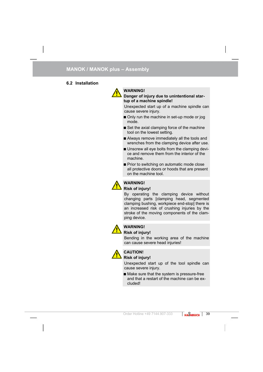### **6.2 Installation**



### **WARNING!**

#### **Danger of injury due to unintentional startup of a machine spindle!**

Unexpected start up of a machine spindle can cause severe injury.

- Only run the machine in set-up mode or jog mode.
- $\blacksquare$  Set the axial clamping force of the machine tool on the lowest setting.
- Always remove immediately all the tools and wrenches from the clamping device after use.
- Unscrew all eye bolts from the clamping device and remove them from the interior of the machine.
- Prior to switching on automatic mode close all protective doors or hoods that are present on the machine tool.



### **WARNING!**

### **Risk of injury!**

By operating the clamping device without changing parts [clamping head, segmented clamping bushing, workpiece end-stop] there is an increased risk of crushing injuries by the stroke of the moving components of the clamping device.



### **WARNING!**

### **Risk of injury!**

Bending in the working area of the machine can cause severe head injuries!



### **CAUTION!**

**Risk of injury!**

Unexpected start up of the tool spindle can cause severe injury.

■ Make sure that the system is pressure-free and that a restart of the machine can be excluded!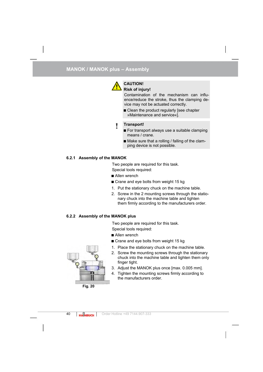### **[MANOK / MANOK plus](#page-0-0) – Assembly**



### **CAUTION! Risk of injury!**

Contamination of the mechanism can influence/reduce the stroke, thus the clamping device may not be actuated correctly.

Clean the product regularly [see chapter] »Maintenance and service«].

#### **Transport!** 1

- For transport always use a suitable clamping means / crane.
- $\blacksquare$  Make sure that a rolling / falling of the clamping device is not possible.

### **6.2.1 Assembly of the MANOK**

Two people are required for this task. Special tools required:

- Allen wrench
- Crane and eye bolts from weight 15 kg
- 1. Put the stationary chuck on the machine table.
- 2. Screw in the 2 mounting screws through the stationary chuck into the machine table and tighten them firmly according to the manufacturers order.

### **6.2.2 Assembly of the MANOK plus**

Two people are required for this task. Special tools required:

- Allen wrench
- Crane and eye bolts from weight 15 kg
- 1. Place the stationary chuck on the machine table.
- 2. Screw the mounting screws through the stationary chuck into the machine table and tighten them only finger tight.
- 3. Adjust the MANOK plus once [max. 0.005 mm].
- 4. Tighten the mounting screws firmly according to the manufacturers order.

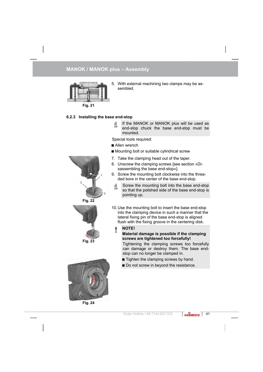### **[MANOK / MANOK plus](#page-0-0) – Assembly**



5. With external machining two clamps may be assembled.

### **6.2.3 Installing the base end-stop**



Special tools required:

- Allen wrench
- Mounting bolt or suitable cylindrical screw
- 7. Take the clamping head out of the taper.
- 8. Unscrew the clamping screws [see section »Disassembling the base end-stop«].
- 9. Screw the mounting bolt clockwise into the threaded bore in the center of the base end-stop.
	- Screw the mounting bolt into the base end-stop ñ so that the polished side of the base end-stop is pointing up.







**Fig. 23**



**Fig. 24**

10.Use the mounting bolt to insert the base end-stop into the clamping device in such a manner that the lateral fixing pin of the base end-stop is aligned flush with the fixing groove in the centering disk.

### **NOTE!**

**Material damage is possible if the clamping screws are tightened too forcefully!**

Tightening the clamping screws too forcefully can damage or destroy them. The base endstop can no longer be clamped in.

- $\blacksquare$  Tighten the clamping screws by hand.
- Do not screw in beyond the resistance.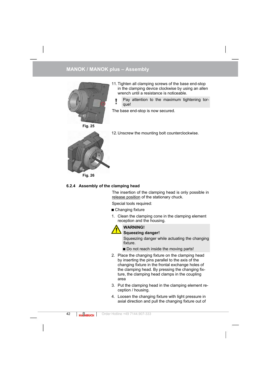### **[MANOK / MANOK plus](#page-0-0) – Assembly**



- 11.Tighten all clamping screws of the base end-stop in the clamping device clockwise by using an allen wrench until a resistance is noticeable.
	- Pay attention to the maximum tightening torque!

The base end-stop is now secured.







**Fig. 26**

### **6.2.4 Assembly of the clamping head**

The insertion of the clamping head is only possible in release position of the stationary chuck.

Special tools required:

- Changing fixture
- 1. Clean the clamping cone in the clamping element reception and the housing.



### **WARNING!**

**Squeezing danger!**

Squeezing danger while actuating the changing fixture.

- Do not reach inside the moving parts!
- 2. Place the changing fixture on the clamping head by inserting the pins parallel to the axis of the changing fixture in the frontal exchange holes of the clamping head. By pressing the changing fixture, the clamping head clamps in the coupling area
- 3. Put the clamping head in the clamping element reception / housing.
- 4. Loosen the changing fixture with light pressure in axial direction and pull the changing fixture out of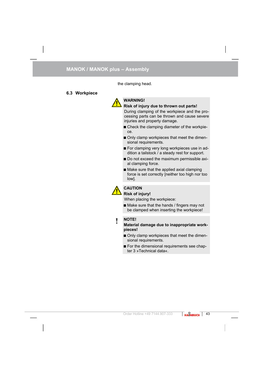the clamping head.

### **6.3 Workpiece**



### **WARNING!**

#### **Risk of injury due to thrown out parts!**

During clamping of the workpiece and the processing parts can be thrown and cause severe injuries and property damage.

- Check the clamping diameter of the workpiece.
- Only clamp workpieces that meet the dimensional requirements.
- For clamping very long workpieces use in addition a tailstock / a steady rest for support.
- Do not exceed the maximum permissible axial clamping force.
- Make sure that the applied axial clamping force is set correctly [neither too high nor too low].



### **CAUTION**

### **Risk of injury!**

When placing the workpiece:

■ Make sure that the hands / fingers may not be clamped when inserting the workpiece!

#### **NOTE!** ļ

**Material damage due to inappropriate workpieces!**

- Only clamp workpieces that meet the dimensional requirements.
- **For the dimensional requirements see chap**ter 3 »Technical data«.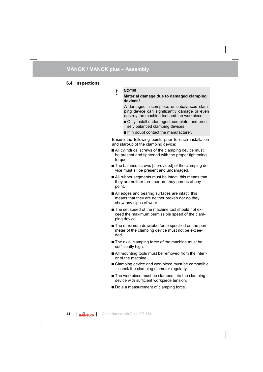### **6.4 Inspections**

#### **NOTE!** ı

#### **Material damage due to damaged clamping devices!**

A damaged, incomplete, or unbalanced clamping device can significantly damage or even destroy the machine tool and the workpiece.

- Only install undamaged, complete, and precisely balanced clamping devices.
- $\blacksquare$  If in doubt contact the manufacturer.

Ensure the following points prior to each installation and start-up of the clamping device:

- All cylindrical screws of the clamping device must be present and tightened with the proper tightening torque.
- The balance screws [if provided] of the clamping device must all be present and undamaged.
- All rubber segments must be intact; this means that they are neither torn, nor are they porous at any point.
- All edges and bearing surfaces are intact; this means that they are neither broken nor do they show any signs of wear.
- The set speed of the machine tool should not exceed the maximum permissible speed of the clamping device.
- The maximum drawtube force specified on the perimeter of the clamping device must not be exceeded.
- The axial clamping force of the machine must be sufficiently high.
- All mounting tools must be removed from the interior of the machine.
- Clamping device and workpiece must be compatible – check the clamping diameter regularly.
- The workpiece must be clamped into the clamping device with sufficient workpiece tension.
- Do a a measurement of clamping force.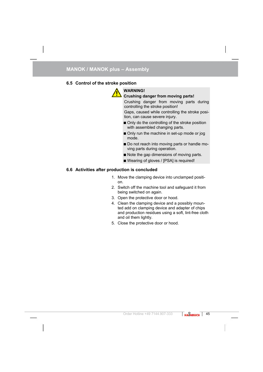### **6.5 Control of the stroke position**



### **WARNING!**

**Crushing danger from moving parts!**

Crushing danger from moving parts during controlling the stroke position!

Gaps, caused while controlling the stroke position, can cause severe injury.

- Only do the controlling of the stroke position with assembled changing parts.
- Only run the machine in set-up mode or jog mode.
- Do not reach into moving parts or handle moving parts during operation.
- $\blacksquare$  Note the gap dimensions of moving parts.
- Wearing of gloves / [PSA] is required!

### **6.6 Activities after production is concluded**

- 1. Move the clamping device into unclamped position.
- 2. Switch off the machine tool and safeguard it from being switched on again.
- 3. Open the protective door or hood.
- 4. Clean the clamping device and a possibly mounted add on clamping device and adapter of chips and production residues using a soft, lint-free cloth and oil them lightly.
- 5. Close the protective door or hood.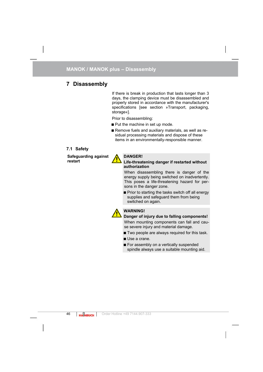### **7 Disassembly**

If there is break in production that lasts longer than 3 days, the clamping device must be disassembled and properly stored in accordance with the manufacturer's specifications [see section »Transport, packaging, storage«].

Prior to disassembling:

- Put the machine in set up mode.
- Remove fuels and auxiliary materials, as well as residual processing materials and dispose of these items in an environmentally-responsible manner.

### **7.1 Safety**

#### **Safeguarding against restart**



### **DANGER!**

#### **Life-threatening danger if restarted without authorization**

When disassembling there is danger of the energy supply being switched on inadvertently. This poses a life-threatening hazard for persons in the danger zone.

 $\blacksquare$  Prior to starting the tasks switch off all energy supplies and safeguard them from being switched on again.



### **WARNING!**

### **Danger of injury due to falling components!**

When mounting components can fall and cause severe injury and material damage.

- Two people are always required for this task.
- Use a crane.
- For assembly on a vertically suspended spindle always use a suitable mounting aid.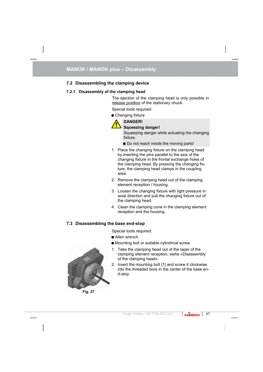### **7.2 Disassembling the clamping device**

### **7.2.1 Disassembly of the clamping head**

The ejection of the clamping head is only possible in release position of the stationary chuck.

Special tools required:

■ Changing fixture



### DANGER!

### **Squeezing danger!**

Squeezing danger while actuating the changing fixture.

- Do not reach inside the moving parts!
- 1. Place the changing fixture on the clamping head by inserting the pins parallel to the axis of the changing fixture in the frontal exchange holes of the clamping head. By pressing the changing fixture, the clamping head clamps in the coupling area.
- 2. Remove the clamping head out of the clamping element reception / housing.
- 3. Loosen the changing fixture with light pressure in axial direction and pull the changing fixture out of the clamping head.
- 4. Clean the clamping cone in the clamping element reception and the housing.

### **7.3 Disassembling the base end-stop**

Special tools required:

- Allen wrench
- Mounting bolt or suitable cylindrical screw
- 1. Take the clamping head out of the taper of the clamping element reception, siehe »Disassembly of the clamping head«.
- 2. Insert the mounting bolt [1] and screw it clockwise into the threaded bore in the center of the base end-stop.



**Fig. 27**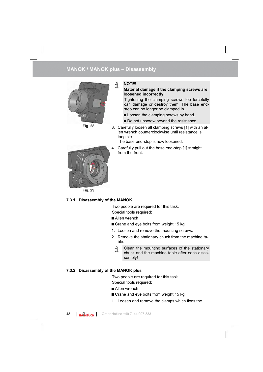### **[MANOK / MANOK plus](#page-0-0) – Disassembly**

ñ



**Fig. 28**

### **NOTE!**

### **Material damage if the clamping screws are loosened incorrectly!**

Tightening the clamping screws too forcefully can damage or destroy them. The base endstop can no longer be clamped in.

- Loosen the clamping screws by hand.
- Do not unscrew beyond the resistance.
- 3. Carefully loosen all clamping screws [1] with an allen wrench counterclockwise until resistance is tangible.

The base end-stop is now loosened.

4. Carefully pull out the base end-stop [1] straight from the front.



**Fig. 29**

### **7.3.1 Disassembly of the MANOK**

Two people are required for this task. Special tools required:

- Allen wrench
- Crane and eye bolts from weight 15 kg
- 1. Loosen and remove the mounting screws.
- 2. Remove the stationary chuck from the machine table.
	- Clean the mounting surfaces of the stationary ñ chuck and the machine table after each disassembly!

### **7.3.2 Disassembly of the MANOK plus**

Two people are required for this task.

Special tools required:

- Allen wrench
- Crane and eye bolts from weight 15 kg
- 1. Loosen and remove the clamps which fixes the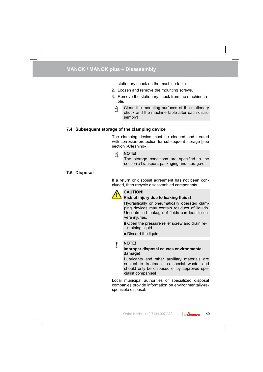stationary chuck on the machine table.

- 2. Loosen and remove the mounting screws.
- 3. Remove the stationary chuck from the machine table.
	- ñ Clean the mounting surfaces of the stationary chuck and the machine table after each disassembly!

### **7.4 Subsequent storage of the clamping device**

The clamping device must be cleaned and treated with corrosion protection for subsequent storage [see section »Cleaning«].

#### ñ **NOTE!**

The storage conditions are specified in the section »Transport, packaging and storage«.

### **7.5 Disposal**

If a return or disposal agreement has not been concluded, then recycle disassembled components.



### **CAUTION!**

### **Risk of injury due to leaking fluids!**

Hydraulically or pneumatically operated clamping devices may contain residues of liquids. Uncontrolled leakage of fluids can lead to severe injuries.

- Open the pressure relief screw and drain remaining liquid.
- Discard the liquid.

#### **NOTE!** 1

#### **Improper disposal causes environmental damage!**

Lubricants and other auxiliary materials are subject to treatment as special waste, and should only be disposed of by approved specialist companies!

Local municipal authorities or specialized disposal companies provide information on environmentally-responsible disposal.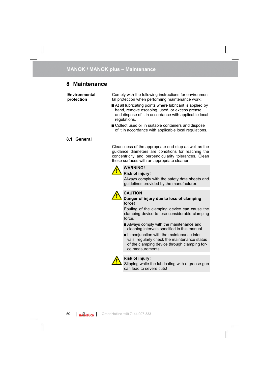### **8 Maintenance**

**Environmental protection**

Comply with the following instructions for environmental protection when performing maintenance work:

- At all lubricating points where lubricant is applied by hand, remove escaping, used, or excess grease, and dispose of it in accordance with applicable local regulations.
- Collect used oil in suitable containers and dispose of it in accordance with applicable local regulations.

### **8.1 General**

Cleanliness of the appropriate end-stop as well as the guidance diameters are conditions for reaching the concentricity and perpendicularity tolerances. Clean these surfaces with an appropriate cleaner.



## **WARNING!**

### **Risk of injury!**

Always comply with the safety data sheets and guidelines provided by the manufacturer.



### **CAUTION**

### **Danger of injury due to loss of clamping force!**

Fouling of the clamping device can cause the clamping device to lose considerable clamping force.

- Always comply with the maintenance and cleaning intervals specified in this manual.
- $\blacksquare$  In conjunction with the maintenance intervals, regularly check the maintenance status of the clamping device through clamping force measurements.



### **Risk of injury!**

Slipping while the lubricating with a grease gun can lead to severe cuts!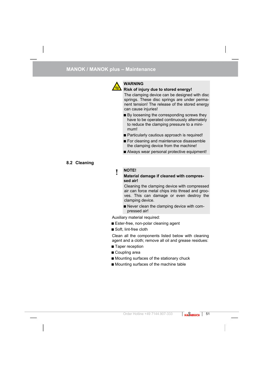### **[MANOK / MANOK plus](#page-0-0) – Maintenance**



### **WARNING**

### **Risk of injury due to stored energy!**

The clamping device can be designed with disc springs. These disc springs are under permanent tension! The release of the stored energy can cause injuries!

- By loosening the corresponding screws they have to be operated continuously alternately to reduce the clamping pressure to a minimum!
- Particularly cautious approach is required!
- For cleaning and maintenance disassemble the clamping device from the machine!
- Always wear personal protective equipment!

### **8.2 Cleaning**

### 4. x **NOTE!**

### **Material damage if cleaned with compressed air!**

Cleaning the clamping device with compressed air can force metal chips into thread and grooves. This can damage or even destroy the clamping device.

Never clean the clamping device with compressed air!

Auxiliary material required:

- Ester-free, non-polar cleaning agent
- Soft, lint-free cloth

Clean all the components listed below with cleaning agent and a cloth; remove all oil and grease residues:

- Taper reception
- Coupling area
- Mounting surfaces of the stationary chuck
- Mounting surfaces of the machine table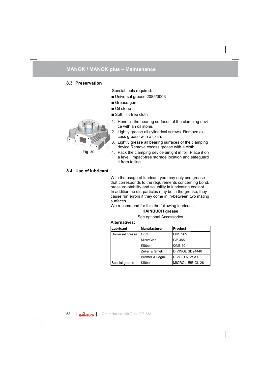### **8.3 Preservation**

Special tools required:

- Universal grease 2085/0003
- Grease gun
- Oil stone
- Soft, lint-free cloth
- 1. Hone all the bearing surfaces of the clamping device with an oil stone.
- 2. Lightly grease all cylindrical screws. Remove excess grease with a cloth.
- 3. Lightly grease all bearing surfaces of the clamping device Remove excess grease with a cloth.

4. Pack the clamping device airtight in foil. Place it on a level, impact-free storage location and safeguard it from falling.

#### **8.4 Use of lubricant**

With the usage of lubricant you may only use grease that corresponds to the requirements concerning bond, pressure-stability and solubility in lubricating coolant. In addition no dirt particles may be in the grease; they cause run errors if they come in in-between two mating surfaces.

We recommend for this the following lubricant:

#### **HAINBUCH grease**

See optional Accessories

#### **Alternatives:**

| Lubricant        | <b>Manufacturer</b>         | <b>Product</b>   |
|------------------|-----------------------------|------------------|
| Universal grease | <b>OKS</b>                  | <b>OKS 265</b>   |
|                  | <b>MicroGleit</b>           | GP 355           |
|                  | Klüber                      | <b>QNB 50</b>    |
|                  | Zeller & Gmelin             | DIVINOL SD24440  |
|                  | <b>Bremer &amp; Leguill</b> | RIVOLTA W.A.P.   |
| Special grease   | Klüber                      | MICROLUBE GL 261 |

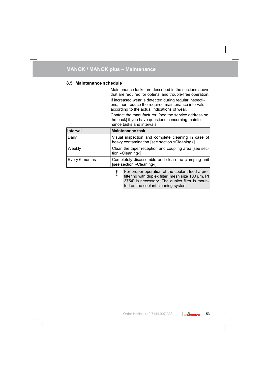### **8.5 Maintenance schedule**

Maintenance tasks are described in the sections above that are required for optimal and trouble-free operation.

If increased wear is detected during regular inspections, then reduce the required maintenance intervals according to the actual indications of wear.

Contact the manufacturer, [see the service address on the back] if you have questions concerning maintenance tasks and intervals.

ted on the coolant cleaning system.

| <b>Interval</b> | <b>Maintenance task</b>                                                                                                                                 |  |  |  |
|-----------------|---------------------------------------------------------------------------------------------------------------------------------------------------------|--|--|--|
| Daily           | Visual inspection and complete cleaning in case of<br>heavy contamination [see section »Cleaning«]                                                      |  |  |  |
| Weekly          | Clean the taper reception and coupling area [see sec-]<br>tion »Cleaning«]                                                                              |  |  |  |
| Every 6 months  | Completely disassemble and clean the clamping unit<br>[see section »Cleaning«]                                                                          |  |  |  |
|                 | For proper operation of the coolant feed a pre-<br>filtering with duplex filter [mesh size 100 µm, PI<br>3754] is necessary. The duplex filter is moun- |  |  |  |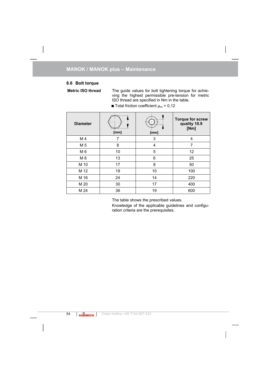### **8.6 Bolt torque**

**Metric ISO thread** The guide values for bolt tightening torque for achieving the highest permissible pre-tension for metric ISO thread are specified in Nm in the table.

Total friction coefficient  $\mu_{\text{tot}} = 0.12$ 

| <b>Diameter</b> | [mm] | [mm]           | <b>Torque for screw</b><br>quality 10.9<br>[Nm] |
|-----------------|------|----------------|-------------------------------------------------|
| M 4             | 7    | 3              | 4                                               |
| M <sub>5</sub>  | 8    | $\overline{4}$ | 7                                               |
| M 6             | 10   | 5              | 12                                              |
| M8              | 13   | 6              | 25                                              |
| M 10            | 17   | 8              | 50                                              |
| M 12            | 19   | 10             | 100                                             |
| M 16            | 24   | 14             | 220                                             |
| M 20            | 30   | 17             | 400                                             |
| M 24            | 36   | 19             | 600                                             |

The table shows the prescribed values.

Knowledge of the applicable guidelines and configuration criteria are the prerequisites.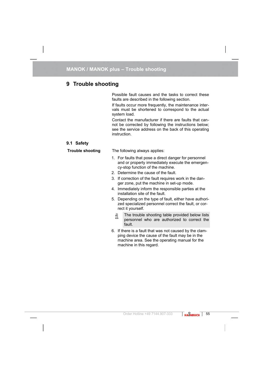### **9 Trouble shooting**

Possible fault causes and the tasks to correct these faults are described in the following section.

If faults occur more frequently, the maintenance intervals must be shortened to correspond to the actual system load.

Contact the manufacturer if there are faults that cannot be corrected by following the instructions below; see the service address on the back of this operating instruction.

### **9.1 Safety**

**Trouble shooting** The following always applies:

- 1. For faults that pose a direct danger for personnel and or property immediately execute the emergency-stop function of the machine.
- 2. Determine the cause of the fault.
- 3. If correction of the fault requires work in the danger zone, put the machine in set-up mode.
- 4. Immediately inform the responsible parties at the installation site of the fault.
- 5. Depending on the type of fault, either have authorized specialized personnel correct the fault, or correct it yourself.
	- The trouble shooting table provided below lists ñ personnel who are authorized to correct the fault.
- 6. If there is a fault that was not caused by the clamping device the cause of the fault may be in the machine area. See the operating manual for the machine in this regard.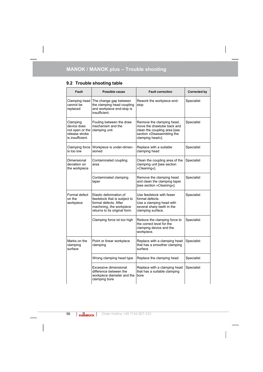## **9.2 Trouble shooting table**

| <b>Fault</b>                                                                     | Possible cause                                                                                                                               | <b>Fault correction</b>                                                                                                                   | <b>Corrected by</b> |
|----------------------------------------------------------------------------------|----------------------------------------------------------------------------------------------------------------------------------------------|-------------------------------------------------------------------------------------------------------------------------------------------|---------------------|
| Clamping head<br>cannot be<br>replaced                                           | The change gap between<br>the clamping head coupling<br>and workpiece end-stop is<br>insufficient.                                           | Rework the workpiece end-<br>stop                                                                                                         | <b>Specialist</b>   |
| Clamping<br>device does<br>not open or the<br>release stroke<br>is insufficient. | Fouling between the draw<br>mechanism and the<br>clamping unit                                                                               | Remove the clamping head,<br>move the drawtube back and<br>clean the coupling area [see<br>section »Disassembling the<br>clamping head«]. | <b>Specialist</b>   |
| <b>Clamping force</b><br>is too low                                              | Workpiece is under-dimen-<br>sioned                                                                                                          | Replace with a suitable<br>clamping head                                                                                                  | <b>Specialist</b>   |
| Dimensional<br>deviation on<br>the workpiece                                     | Contaminated coupling<br>area                                                                                                                | Clean the coupling area of the<br>clamping unit [see section<br>»Cleaning«].                                                              | Specialist          |
|                                                                                  | Contaminated clamping<br>taper                                                                                                               | Remove the clamping head<br>and clean the clamping taper<br>[see section »Cleaning«].                                                     | Specialist          |
| Formal defect<br>on the<br>workpiece                                             | Elastic deformation of<br>feedstock that is subject to<br>formal defects. After<br>machining, the workpiece<br>returns to its original form. | Use feedstock with fewer<br>formal defects.<br>Use a clamping head with<br>several sharp teeth in the<br>clamping surface.                | <b>Specialist</b>   |
|                                                                                  | Clamping force ist too high                                                                                                                  | Reduce the clamping force to<br>the correct level for the<br>clamping device and the<br>workpiece.                                        | <b>Specialist</b>   |
| Marks on the<br>clamping<br>surface                                              | Point or linear workpiece<br>clamping                                                                                                        | Replace with a clamping head<br>that has a smoother clamping<br>surface                                                                   | <b>Specialist</b>   |
|                                                                                  | Wrong clamping head type                                                                                                                     | Replace the clamping head                                                                                                                 | Specialist          |
|                                                                                  | Excessive dimensional<br>difference between the<br>workpiece diameter and the<br>clamping bore                                               | Replace with a clamping head<br>that has a suitable clamping<br>bore                                                                      | <b>Specialist</b>   |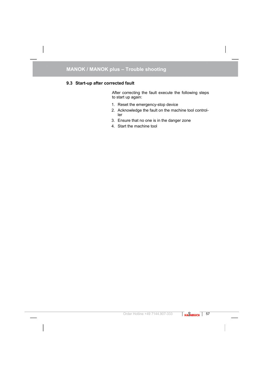### **9.3 Start-up after corrected fault**

After correcting the fault execute the following steps to start up again:

- 1. Reset the emergency-stop device
- 2. Acknowledge the fault on the machine tool controller
- 3. Ensure that no one is in the danger zone
- 4. Start the machine tool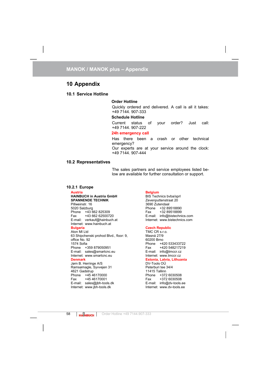### **10 Appendix**

#### **10.1 Service Hotline**

#### **Order Hotline**

Quickly ordered and delivered. A call is all it takes: +49 7144. 907-333

#### **Schedule Hotline**

Current status of your order? Just call: +49 7144. 907-222

#### **24h emergency call**

Has there been a crash or other technical emergency?

Our experts are at your service around the clock: +49 7144. 907-444

#### **10.2 Representatives**

The sales partners and service employees listed below are available for further consultation or support.

#### **10.2.1 Europe**

**Austria**

**HAINBUCH in Austria GmbH SPANNENDE TECHNIK** Pillweinstr. 16 5020 Salzburg

Phone +43 662 825309 Fax +43 662 62500720 E-mail: verkauf@hainbuch.at Internet: www.hainbuch.at

#### **Bulgaria**

Aton MI Ltd 63 Shipchenski prohod Blvd., floor: 9, office No. 92 1574 Sofia Phone +359 879050951 E-mail: sales@smartcnc.eu Internet: www.smartcnc.eu **Denmark**

Jørn B. Herringe A/S Ramsømagle, Syvvejen 31 4621 Gadstrup Phone +45 46170000 Fax +45 46170001 E-mail: sales@jbh-tools.dk Internet: www.jbh-tools.dk

#### **Belgium**

BIS Technics bvba/sprl Zevenputtenstraat 20 3690 Zutendaal Phone +32 89518890 Fax +32 89518899 E-mail: info@bistechnics.com Internet: www.bistechnics.com

#### **Czech Republic**

TMC CR s.r.o. Masná 27/9 60200 Brno Phone +420 533433722 Fax +420 548217219 E-mail: info@tmccr.cz Internet: www.tmccr.cz **Estonia, Latvia, Lithuania** DV-Tools OÜ

Peterburi tee 34/4 11415 Tallinn Phone +372 6030508 Fax +372 6030508 E-mail: info@dv-tools.ee Internet: www.dv-tools.ee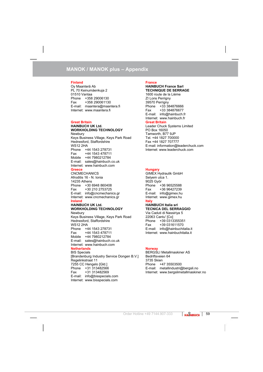### **[MANOK / MANOK plus](#page-0-0) – Appendix**

#### **Finland**

Oy Maanterä Ab PL 70 Keinumäenkuja 2 01510 Vantaa Phone +358 29006130 Fax +358 290061130 E-mail: maantera@maantera.fi Internet: www.maantera.fi

#### **Great Britain**

#### **HAINBUCH UK Ltd. WORKHOLDING TECHNOLOGY**

**Newbury** Keys Business Village, Keys Park Road Hednesford, Staffordshire WS12 2HA Phone +44 1543 278731 Fax +44 1543 478711 Mobile +44 7980212784 E-mail: sales@hainbuch.co.uk Internet: www.hainbuch.com **Greece CNCMECHANICS** Afroditis 16 - N. Ionia 14235 Athens Phone +30 6948 860408

Fax +30 210 2753725 E-mail: info@cncmechanics.gr Internet: www.cncmechanics.gr **Ireland**

#### **HAINBUCH UK Ltd. WORKHOLDING TECHNOLOGY Newbury**

Keys Business Village, Keys Park Road Hednesford, Staffordshire WS12 2HA Phone +44 1543 278731 Fax +44 1543 478711 Mobile +44 7980212784 E-mail: sales@hainbuch.co.uk Internet: www.hainbuch.com

#### **Netherlands**

BIS Specials [Brandenburg Industry Service Dongen B.V.] Regelinkstraat 11 7255 CC Hengelo [Gld.] Phone +31 313482566 Fax +31 313482569 E-mail: info@bisspecials.com Internet: www.bisspecials.com

#### **France**

#### **HAINBUCH France Sarl TECHNIQUE DE SERRAGE**

1600 route de la Lième ZI Lons Perrigny 39570 Perrigny Phone +33 384876666 Fax +33 384876677 E-mail: info@hainbuch.fr Internet: www.hainbuch.fr

#### **Great Britain**

Leader Chuck Systems Limited PO Box 16050 Tamworth, B77 9JP Tel. +44 1827 700000 Fax +44 1827 707777 E-mail: information@leaderchuck.com Internet: www.leaderchuck.com

#### **Hungary**

GIMEX Hydraulik GmbH Selyem utca 1. 9025 Györ Phone +36 96525588 Fax +36 96427239 E-mail: info@gimex.hu Internet: www.gimex.hu **Italy**

#### **HAINBUCH Italia srl TECNICA DEL SERRAGGIO**

Via Caduti di Nassiriya 5 22063 Cantu' [Co] Phone +39 0313355351 Fax +39 031611570 E-mail: info@hainbuchitalia.it Internet: www.hainbuchitalia.it

#### **Norway**

BERGSLI Metallmaskiner AS Bedriftsveien 64 3735 Skien Phone +47 35503500 E-mail: metallindustri@bergsli.no Internet: www.bergslimetallmaskiner.no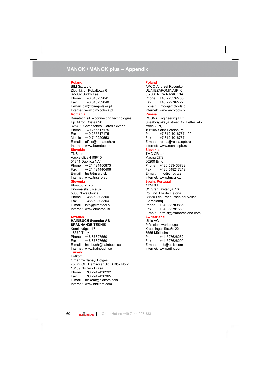### **[MANOK / MANOK plus](#page-0-0) – Appendix**

#### **Poland**

BIM Sp. z o.o. Złotniki, ul. Kobaltowa 6 62-002 Suchy Las Phone +48 616232041 Fax +48 616232040 E-mail: bim@bim-polska.pl Internet: www.bim-polska.pl **Romania** Banatech srl. – connecting technologies Ep. Miron Cristea 26 325400 Caransebes, Caras Severin Phone +40 255517175 Fax +40 255517175 Mobile +40 749220553 E-mail: office@banatech.ro Internet: www.banatech.ro **Slovakia** TNS s.r.o. Vácka ulica 4109/10 01841 Dubnica N/V Phone +421 424450873 Fax +421 424440406 E-mail: tns@tnssro.sk Internet: www.tnssro.eu **Slovenia** Elmetool d.o.o. Prvomajska ulica 62

5000 Nova Gorica Phone +386 53303300 Fax +386 53303304 E-mail: info@elmetool.si Internet: www.elmetool.si

#### **Sweden**

#### **HAINBUCH Svenska AB SPÄNNANDE TEKNIK**

Kemistvägen 17 18379 Täby Phone +46 87327550<br>Fax +46 87327650 +46 87327650 E-mail: hainbuch@hainbuch.se Internet: www.hainbuch.se **Turkey** Hidkom Organize Sanayi Bölgesi 75. Yil CD. Demirciler Sit. B Blok No.2 16159 Nilüfer / Bursa Phone +90 2242438292 Fax +90 2242436365 E-mail: hidkom@hidkom.com Internet: www.hidkom.com

#### **Poland**

ARCO Andrzej Rudenko UL.NIEZAPOMINAJKI 6 05-500 NOWA IWICZNA Phone +48 223532705 Fax +48 222702722 E-mail: info@arcotools.pl Internet: www.arcotools.pl **Russia** ROSNA Engineering LLC Sveaborgskaya street, 12, Letter »A«, office 20N, 196105 Saint-Petersburg Phone +7 812 4016767-100 Fax +7 812 4016767 E-mail: rosna@rosna.spb.ru Internet: www.rosna.spb.ru **Slovakia** TMC CR s.r.o. Masná 27/9 60200 Brno Phone +420 533433722 Fax +420 548217219 E-mail: info@tmccr.cz Internet: www.tmccr.cz **Spain, Portugal** ATM S.L C/. Gran Bretanya, 16 Pol. Ind. Pla de Llerona 08520 Les Franqueses del Vallès [Barcelona] Phone +34 938700885 Fax +34 938791689 E-mail: atm.sl@atmbarcelona.com **Switzerland** Utilis AG Präzisionswerkzeuge Kreuzlinger Straße 22 8555 Müllheim Phone +41 527626262 Fax +41 527626200 E-mail: info@utilis.com Internet: www.utilis.com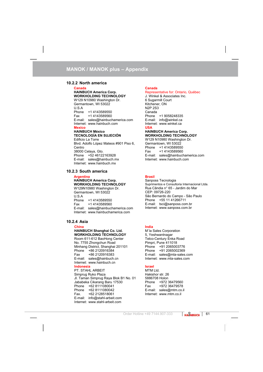#### **10.2.2 North america**

#### **Canada**

**HAINBUCH America Corp. WORKHOLDING TECHNOLOGY** W129 N10980 Washington Dr. Germantown, WI 53022 U.S.A Phone +1 4143589550 Fax +1 4143589560 E-mail: sales@hainbuchamerica.com Internet: www.hainbuch.com **Mexico HAINBUCH México**

#### **TECNOLOGÍA EN SUJECIÓN** Edificio La Torre

Blvd. Adolfo López Mateos #901 Piso 6, Centro 38000 Celaya, Gto. Phone +52 46122163928 E-mail: sales@hainbuch.mx Internet: www.hainbuch.mx

#### **10.2.3 South america**

#### **Argentina**

**HAINBUCH America Corp. WORKHOLDING TECHNOLOGY** W129N10980 Washington Dr. Germantown, WI 53022 U.S.A Phone +1 4143589550 Fax +1 4143589560 E-mail: sales@hainbuchamerica.com Internet: www.hainbuchamerica.com

#### **10.2.4 Asia**

#### **China**

**HAINBUCH Shanghai Co. Ltd. WORKHOLDING TECHNOLOGY** Room 611-612 BaoHong Center No. 7755 Zhongchun Road Minhang District, Shanghai 201101 Phone +86 2120916384 Fax +86 2120916383 E-mail: sales@hainbuch.cn Internet: www.hainbuch.cn

#### **Indonesia**

PT. STAHL ARBEIT Simprug Ruko Plaza Jl. Taman Simprug Raya Blok B1 No. 01 Jababeka Cikarang Baru 17530 Phone +62 8111080041 Phone +62 8111080042 Fax. +62 2128518061 E-mail: info@stahl-arbeit.com Internet: www.stahl-arbeit.com

#### **Canada**

#### Representative for: Ontario, Québec

J. Winkel & Associates Inc. 6 Sugarmill Court Kitchener, ON N2P 2S3 Canada Phone +1 9058248335 E-mail: info@winkel.ca Internet: www.winkel.ca **USA**

#### **HAINBUCH America Corp. WORKHOLDING TECHNOLOGY**

W129 N10980 Washington Dr. Germantown, WI 53022 Phone +1 4143589550 Fax +1 4143589560 E-mail: sales@hainbuchamerica.com Internet: www.hainbuch.com

#### **Brasil**

Sanposs Tecnologia Suprimentos e Consultoria Internacional Ltda. Rua Cândia n° 65 - Jardim do Mar CEP: 09726-220 São Bernardo do Campo - São Paulo Phone +55 11 41266711 E-mail: tsci@sanposs.com.br Internet: www.sanposs.com.br

#### **India**

M´la Sales Corporation 5, Yeshwantnagar Telco-Century Enka Road Pimpri, Pune 411018 Phone +91 2065003776 Phone +91 2065002369 E-mail: sales@mla-sales.com Internet: www.mla-sales.com

#### **Israel**

MTM I td. Hakishor str. 26 5886708 Holon Phone +972 36479560 Fax +972 36479578 E-mail: sales@mtm.co.il Internet: www.mtm.co.il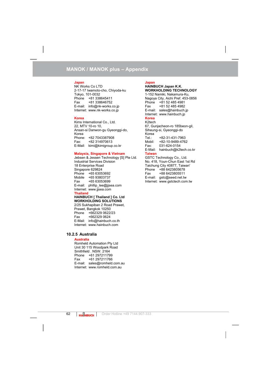#### **Japan**

NK Works Co LTD 2-17-17 Iwamoto-cho, Chiyoda-ku Tokyo, 101-0032 Phone +81 338645411 Fax +81 338646752 E-mail: info@nk-works.co.jp Internet: www.nk-works.co.jp

#### **Korea**

Kims International Co., Ltd. 22, MTV 10-ro 10, Ansan-si Danwon-gu Gyeonggi-do, Korea Phone: +82 7043387908 Fax: +82 314970613 E-Mail: kimi@kimigroup.co.kr

#### **Malaysia, Singapore & Vietnam**

Jebsen & Jessen Technology [S] Pte Ltd. Industrial Services Division 18 Enterprise Road Singapore 629824 Phone +65 63053692 Mobile +65 93803737 Fax +65 63053699 E-mail: phillip\_lee@jjsea.com Internet: www.jjsea.com **Thailand HAINBUCH [ Thailand ] Co. Ltd WORKHOLDING SOLUTIONS**

2/25 Sukhapiban 2 Road Prawet, Prawet, Bangkok 10250 Phone +662329 0622/23 Fax +662329 0624 E-Mail: info@hainbuch.co.th Internet: www.hainbuch.com

#### **10.2.5 Australia**

#### **Australia**

Romheld Automation Pty Ltd Unit 30 115 Woodpark Road Smithfield . NSW. 2164 Phone +61 297211799 Fax +61 297211766 E-mail: sales@romheld.com.au Internet: www.romheld.com.au

#### **Japan**

#### **HAINBUCH Japan K.K. WORKHOLDING TECHNOLOGY**

1-152 Namiki, Nakamura-Ku, Nagoya City, Aichi Pref. 453-0856 Phone +81 52 485 4981 Fax +81 52 485 4982 E-mail: sales@hainbuch.jp Internet: www.hainbuch.jp **Korea**

### K2tech

67, Gunjacheon-ro 185beon-gil, Siheung-si, Gyeonggi-do Korea Tel.: +82-31-431-7963 Mobil: +82-10-9489-4762 Fax: 031-624-0154 E-Mail: hainbuch@k2tech.co.kr **Taiwan** GSTC Technology Co., Ltd.

No. 418, Youn-Chun East 1st Rd Taichung City 40877, Taiwan' Phone +88 6423805678 Fax +88 6423805511 E-mail: gstc@seed.net.tw Internet: www.gstctech.com.tw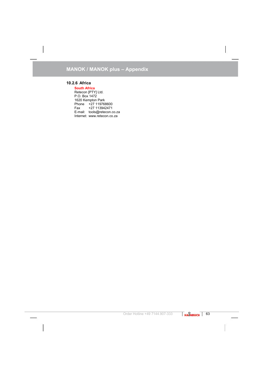### **10.2.6 Africa**

#### **South Africa**

Retecon [PTY] Ltd. P.O. Box 1472 1620 Kempton Park Phone +27 119768600<br>Fax +27 113942471 Fax +27 113942471 E-mail: tools@retecon.co.za Internet: www.retecon.co.za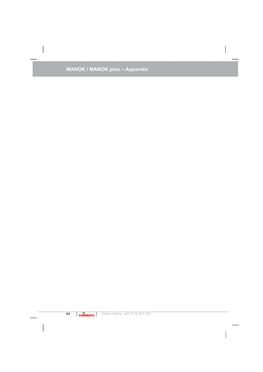# **[MANOK / MANOK plus](#page-0-0) - Appendix**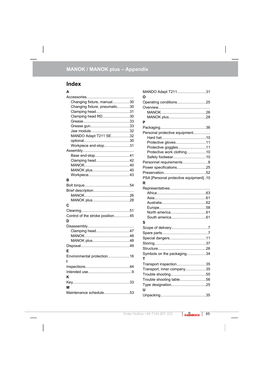# **Index**

### **A**

| Changing fixture, manual30       |  |
|----------------------------------|--|
| Changing fixture, pneumatic30    |  |
| Clamping head31                  |  |
| Clamping head RD30               |  |
|                                  |  |
|                                  |  |
|                                  |  |
| MANDO Adapt T211 SE32            |  |
|                                  |  |
| Workpiece end-stop31             |  |
|                                  |  |
| Base end-stop41                  |  |
| Clamping head42                  |  |
|                                  |  |
|                                  |  |
|                                  |  |
| в                                |  |
|                                  |  |
|                                  |  |
|                                  |  |
|                                  |  |
| C                                |  |
|                                  |  |
|                                  |  |
| Control of the stroke position45 |  |
| D                                |  |
|                                  |  |
| Clamping head47                  |  |
|                                  |  |
|                                  |  |
|                                  |  |
| Е                                |  |
| Environmental protection16       |  |
| ı                                |  |
|                                  |  |
|                                  |  |
| K                                |  |
|                                  |  |
| M                                |  |
| Maintenance schedule53           |  |
|                                  |  |

| MANDO Adapt T21131                         |            |
|--------------------------------------------|------------|
| O                                          |            |
| Operating conditions25                     |            |
|                                            |            |
|                                            |            |
| Р                                          |            |
|                                            |            |
|                                            |            |
| Personal protective equipment              |            |
|                                            |            |
| Protective gloves11                        |            |
| Protective goggles11                       |            |
| Protective work clothing10                 |            |
|                                            |            |
| Personnel requirements8                    |            |
| Power specifications25                     |            |
|                                            |            |
| PSA [Personal protective equipment]10<br>R |            |
|                                            |            |
|                                            |            |
|                                            |            |
|                                            |            |
|                                            |            |
|                                            |            |
|                                            |            |
| S                                          |            |
| Scope of delivery                          | $\cdot$ .7 |
|                                            |            |
|                                            |            |
|                                            |            |
|                                            |            |
| Symbols on the packaging34                 |            |
| T                                          |            |
| Transport inspection35                     |            |
|                                            |            |
| Transport, inner company35                 |            |
|                                            |            |
| Trouble shooting table56                   |            |
|                                            |            |
| U                                          |            |
|                                            |            |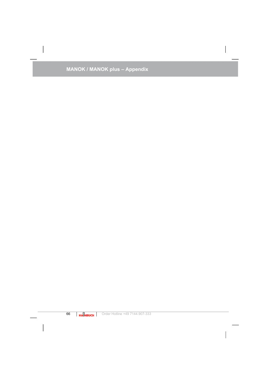# **[MANOK / MANOK plus](#page-0-0) - Appendix**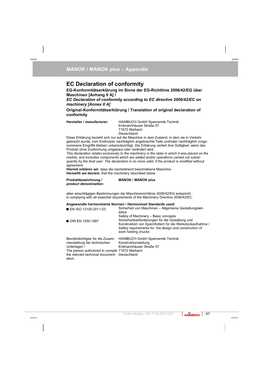## **EC Declaration of conformity**

**EG-Konformitätserklärung im Sinne der EG-Richtlinie 2006/42/EG über Maschinen [Anhang II A] /**

*EC Declaration of conformity according to EC directive 2006/42/EC on machinery [Annex II A]*

**Original-Konformitätserklärung / Translation of original declaration of conformity**

**Hersteller /** *manufacturer***:** HAINBUCH GmbH Spannende Technik Erdmannhäuser Straße 57 71672 Marbach **Deutschland** 

Diese Erklärung bezieht sich nur auf die Maschine in dem Zustand, in dem sie in Verkehr gebracht wurde; vom Endnutzer nachträglich angebrachte Teile und/oder nachträglich vorgenommene Eingriffe bleiben unberücksichtigt. Die Erklärung verliert ihre Gültigkeit, wenn das Produkt ohne Zustimmung umgebaut oder verändert wird.

*This declaration relates exclusively to the machinery in the state in which it was placed on the market, and excludes components which are added and/or operations carried out subsequently by the final user. The declaration is no more valid, if the product is modified without agreement.*

**Hiermit erklären wir**, dass die nachstehend beschriebene Maschine **Herewith we declare**, that the machinery described below

**Produktbezeichnung /**  *product denomination:* **[MANOK / MANOK plus](#page-0-0)**

allen einschlägigen Bestimmungen der Maschinenrichtlinie 2006/42/EG entspricht. is complying with all essential requirements of the Machinery Directive 2006/42/EC.

#### **Angewandte harmonisierte Normen /** *Harmonised Standards used***:**

| ■ EN ISO 12100:2011-03                                                                                                                                                                     | Sicherheit von Maschinen - Allgemeine Gestaltungsleit-<br>sätze                                                                                                                                                                       |
|--------------------------------------------------------------------------------------------------------------------------------------------------------------------------------------------|---------------------------------------------------------------------------------------------------------------------------------------------------------------------------------------------------------------------------------------|
| <b>DIN EN 1550:1997</b>                                                                                                                                                                    | Safety of Machinery - Basic concepts<br>Sicherheitsanforderungen für die Gestaltung und<br>Konstruktion von Spannfuttern für die Werkstückaufnahme /<br>Safety requirements for the design and construction of<br>work holding chucks |
| Bevollmächtigter für die Zusam-<br>menstellung der technischen<br>Unterlagen /<br>The person authorized to compile 71672 Marbach<br>the relevant technical document- Deutschland<br>ation: | HAINBUCH GmbH Spannende Technik<br>Konstruktionsleitung<br>Erdmannhäuser Straße 57                                                                                                                                                    |